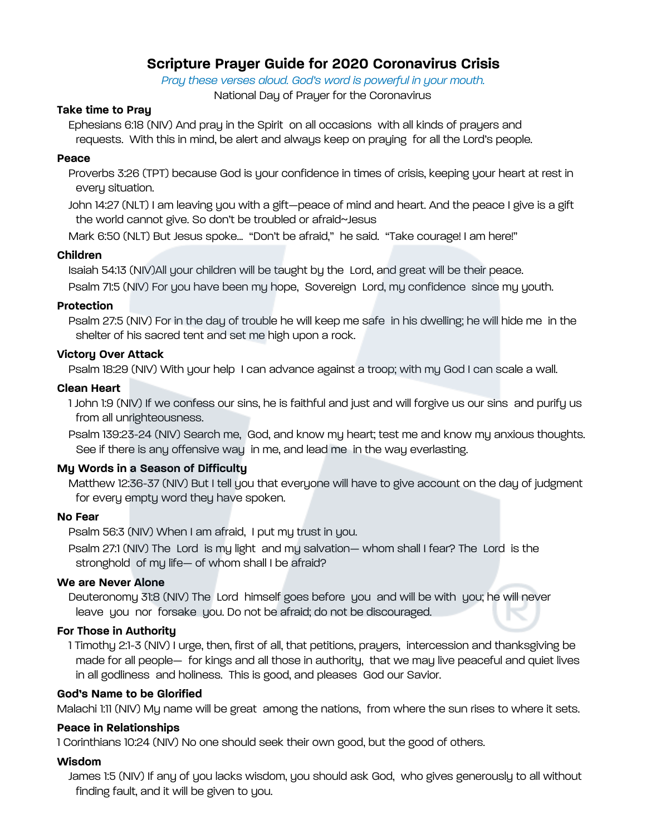# **Scripture Prayer Guide for 2020 Coronavirus Crisis**

*Pray these verses aloud. God's word is powerful in your mouth.*  National Day of Prayer for the Coronavirus

### **Take time to Pray**

Ephesians 6:18 (NIV) And pray in the Spirit on all occasions with all kinds of prayers and requests. With this in mind, be alert and always keep on praying for all the Lord's people.

#### **Peace**

Proverbs 3:26 (TPT) because God is your confidence in times of crisis, keeping your heart at rest in every situation.

John 14:27 (NLT) I am leaving you with a gift—peace of mind and heart. And the peace I give is a gift the world cannot give. So don't be troubled or afraid~Jesus

Mark 6:50 (NLT) But Jesus spoke... "Don't be afraid," he said. "Take courage! I am here!"

### **Children**

Isaiah 54:13 (NIV)All your children will be taught by the Lord, and great will be their peace.

Psalm 71:5 (NIV) For you have been my hope, Sovereign Lord, my confidence since my youth.

### **Protection**

Psalm 27:5 (NIV) For in the day of trouble he will keep me safe in his dwelling; he will hide me in the shelter of his sacred tent and set me high upon a rock.

### **Victory Over Attack**

Psalm 18:29 (NIV) With your help I can advance against a troop; with my God I can scale a wall.

# **Clean Heart**

1 John 1:9 (NIV) If we confess our sins, he is faithful and just and will forgive us our sins and purify us from all unrighteousness.

Psalm 139:23-24 (NIV) Search me, God, and know my heart; test me and know my anxious thoughts. See if there is any offensive way in me, and lead me in the way everlasting.

# **My Words in a Season of Difficulty**

Matthew 12:36-37 (NIV) But I tell you that everyone will have to give account on the day of judgment for every empty word they have spoken.

### **No Fear**

Psalm 56:3 (NIV) When I am afraid, I put my trust in you.

Psalm 27:1 (NIV) The Lord is my light and my salvation— whom shall I fear? The Lord is the stronghold of my life— of whom shall I be afraid?

### **We are Never Alone**

Deuteronomy 31:8 (NIV) The Lord himself goes before you and will be with you; he will never leave you nor forsake you. Do not be afraid; do not be discouraged.

# **For Those in Authority**

1 Timothy 2:1-3 (NIV) I urge, then, first of all, that petitions, prayers, intercession and thanksgiving be made for all people— for kings and all those in authority, that we may live peaceful and quiet lives in all godliness and holiness. This is good, and pleases God our Savior.

### **God's Name to be Glorified**

Malachi 1:11 (NIV) My name will be great among the nations, from where the sun rises to where it sets.

# **Peace in Relationships**

1 Corinthians 10:24 (NIV) No one should seek their own good, but the good of others.

### **Wisdom**

James 1:5 (NIV) If any of you lacks wisdom, you should ask God, who gives generously to all without finding fault, and it will be given to you.